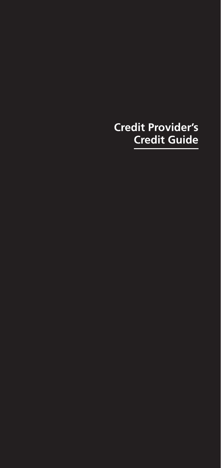# **Credit Provider's Credit Guide**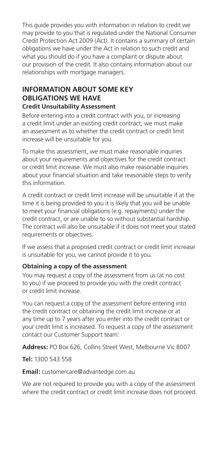This guide provides you with information in relation to credit we may provide to you that is regulated under the National Consumer Credit Protection Act 2009 (Act). It contains a summary of certain obligations we have under the Act in relation to such credit and what you should do if you have a complaint or dispute about our provision of the credit. It also contains information about our relationships with mortgage managers.

#### **INFORMATION ABOUT SOME KEY OBLIGATIONS WE HAVE Credit Unsuitability Assessment**

Before entering into a credit contract with you, or increasing a credit limit under an existing credit contract, we must make an assessment as to whether the credit contract or credit limit increase will be unsuitable for you.

To make this assessment, we must make reasonable inquiries about your requirements and objectives for the credit contract or credit limit increase. We must also make reasonable inquiries about your financial situation and take reasonable steps to verify this information.

A credit contract or credit limit increase will be unsuitable if at the time it is being provided to you it is likely that you will be unable to meet your financial obligations (e.g. repayments) under the credit contract, or are unable to so without substantial hardship. The contract will also be unsuitable if it does not meet your stated requirements or objectives.

If we assess that a proposed credit contract or credit limit increase is unsuitable for you, we cannot provide it to you.

#### **Obtaining a copy of the assessment**

You may request a copy of the assessment from us (at no cost to you) if we proceed to provide you with the credit contract or credit limit increase.

You can request a copy of the assessment before entering into the credit contract or obtaining the credit limit increase or at any time up to 7 years after you enter into the credit contract or your credit limit is increased. To request a copy of the assessment contact our Customer Support team:

**Address:** PO Box 626, Collins Street West, Melbourne Vic 8007

**Tel:** 1300 543 558

#### **Email:** customercare@advantedge.com.au

We are not required to provide you with a copy of the assessment where the credit contract or credit limit increase does not proceed.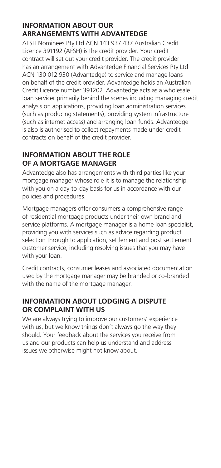## **INFORMATION ABOUT OUR ARRANGEMENTS WITH ADVANTEDGE**

AFSH Nominees Pty Ltd ACN 143 937 437 Australian Credit Licence 391192 (AFSH) is the credit provider. Your credit contract will set out your credit provider. The credit provider has an arrangement with Advantedge Financial Services Pty Ltd ACN 130 012 930 (Advantedge) to service and manage loans on behalf of the credit provider. Advantedge holds an Australian Credit Licence number 391202. Advantedge acts as a wholesale loan servicer primarily behind the scenes including managing credit analysis on applications, providing loan administration services (such as producing statements), providing system infrastructure (such as internet access) and arranging loan funds. Advantedge is also is authorised to collect repayments made under credit contracts on behalf of the credit provider.

# **INFORMATION ABOUT THE ROLE OF A MORTGAGE MANAGER**

Advantedge also has arrangements with third parties like your mortgage manager whose role it is to manage the relationship with you on a day-to-day basis for us in accordance with our policies and procedures.

Mortgage managers offer consumers a comprehensive range of residential mortgage products under their own brand and service platforms. A mortgage manager is a home loan specialist, providing you with services such as advice regarding product selection through to application, settlement and post settlement customer service, including resolving issues that you may have with your loan.

Credit contracts, consumer leases and associated documentation used by the mortgage manager may be branded or co-branded with the name of the mortgage manager.

# **INFORMATION ABOUT LODGING A DISPUTE OR COMPLAINT WITH US**

We are always trying to improve our customers' experience with us, but we know things don't always go the way they should. Your feedback about the services you receive from us and our products can help us understand and address issues we otherwise might not know about.